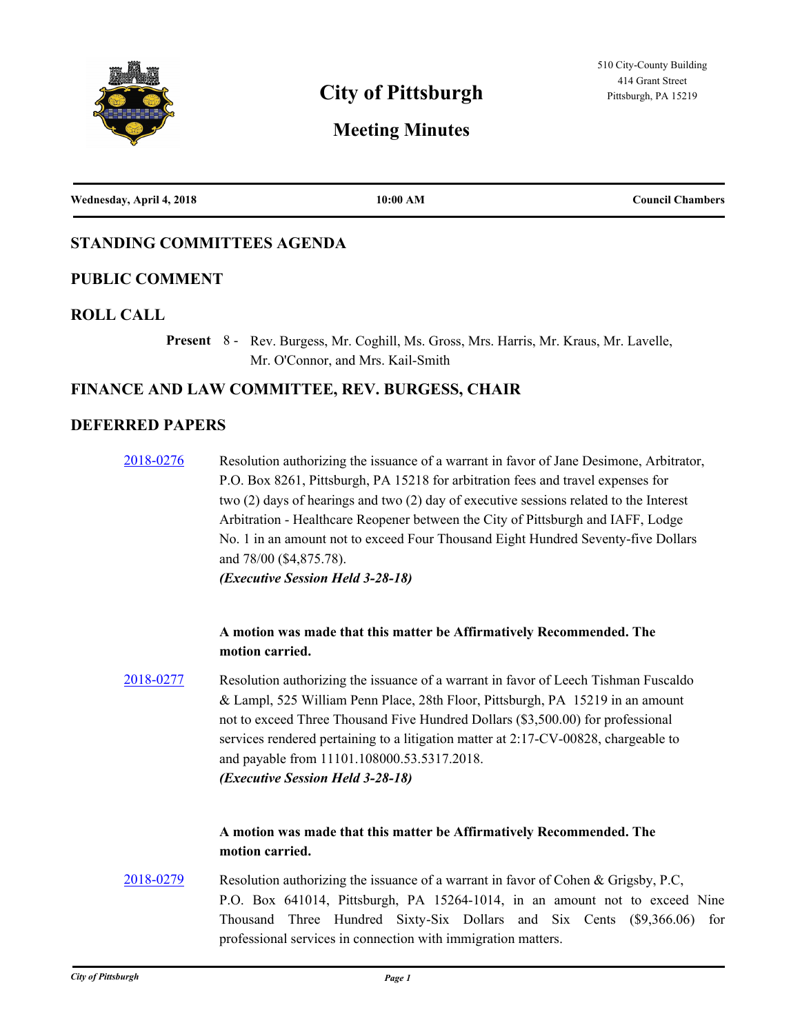

# **City of Pittsburgh Pittsburgh, PA 15219**

# **Meeting Minutes**

| Wednesday, April 4, 2018 | 10:00 AM | <b>Council Chambers</b> |
|--------------------------|----------|-------------------------|
|                          |          |                         |

## **STANDING COMMITTEES AGENDA**

## **PUBLIC COMMENT**

#### **ROLL CALL**

Present 8 - Rev. Burgess, Mr. Coghill, Ms. Gross, Mrs. Harris, Mr. Kraus, Mr. Lavelle, Mr. O'Connor, and Mrs. Kail-Smith

#### **FINANCE AND LAW COMMITTEE, REV. BURGESS, CHAIR**

## **DEFERRED PAPERS**

[2018-0276](http://pittsburgh.legistar.com/gateway.aspx?m=l&id=/matter.aspx?key=22586) Resolution authorizing the issuance of a warrant in favor of Jane Desimone, Arbitrator, P.O. Box 8261, Pittsburgh, PA 15218 for arbitration fees and travel expenses for two (2) days of hearings and two (2) day of executive sessions related to the Interest Arbitration - Healthcare Reopener between the City of Pittsburgh and IAFF, Lodge No. 1 in an amount not to exceed Four Thousand Eight Hundred Seventy-five Dollars and 78/00 (\$4,875.78). *(Executive Session Held 3-28-18)*

## **A motion was made that this matter be Affirmatively Recommended. The motion carried.**

[2018-0277](http://pittsburgh.legistar.com/gateway.aspx?m=l&id=/matter.aspx?key=22587) Resolution authorizing the issuance of a warrant in favor of Leech Tishman Fuscaldo & Lampl, 525 William Penn Place, 28th Floor, Pittsburgh, PA 15219 in an amount not to exceed Three Thousand Five Hundred Dollars (\$3,500.00) for professional services rendered pertaining to a litigation matter at 2:17-CV-00828, chargeable to and payable from 11101.108000.53.5317.2018. *(Executive Session Held 3-28-18)*

## **A motion was made that this matter be Affirmatively Recommended. The motion carried.**

[2018-0279](http://pittsburgh.legistar.com/gateway.aspx?m=l&id=/matter.aspx?key=22589) Resolution authorizing the issuance of a warrant in favor of Cohen & Grigsby, P.C, P.O. Box 641014, Pittsburgh, PA 15264-1014, in an amount not to exceed Nine Thousand Three Hundred Sixty-Six Dollars and Six Cents (\$9,366.06) for professional services in connection with immigration matters.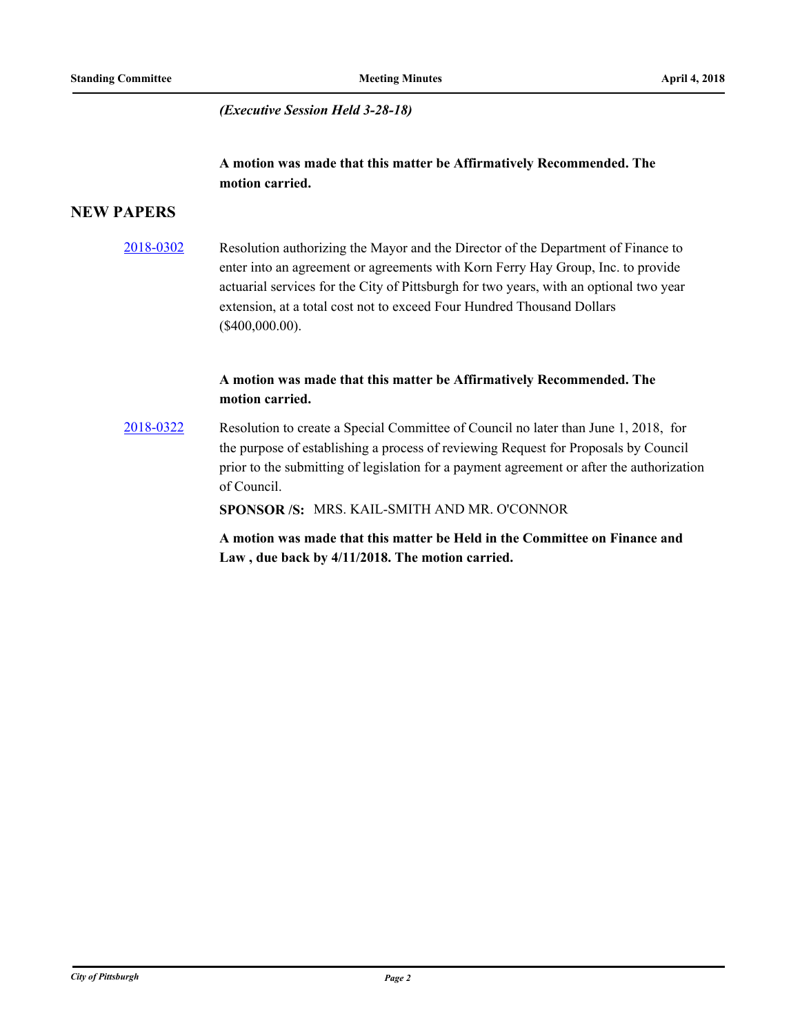*(Executive Session Held 3-28-18)*

## **A motion was made that this matter be Affirmatively Recommended. The motion carried.**

## **NEW PAPERS**

[2018-0302](http://pittsburgh.legistar.com/gateway.aspx?m=l&id=/matter.aspx?key=22613) Resolution authorizing the Mayor and the Director of the Department of Finance to enter into an agreement or agreements with Korn Ferry Hay Group, Inc. to provide actuarial services for the City of Pittsburgh for two years, with an optional two year extension, at a total cost not to exceed Four Hundred Thousand Dollars (\$400,000.00).

## **A motion was made that this matter be Affirmatively Recommended. The motion carried.**

[2018-0322](http://pittsburgh.legistar.com/gateway.aspx?m=l&id=/matter.aspx?key=22633) Resolution to create a Special Committee of Council no later than June 1, 2018, for the purpose of establishing a process of reviewing Request for Proposals by Council prior to the submitting of legislation for a payment agreement or after the authorization of Council.

**SPONSOR /S:** MRS. KAIL-SMITH AND MR. O'CONNOR

**A motion was made that this matter be Held in the Committee on Finance and Law , due back by 4/11/2018. The motion carried.**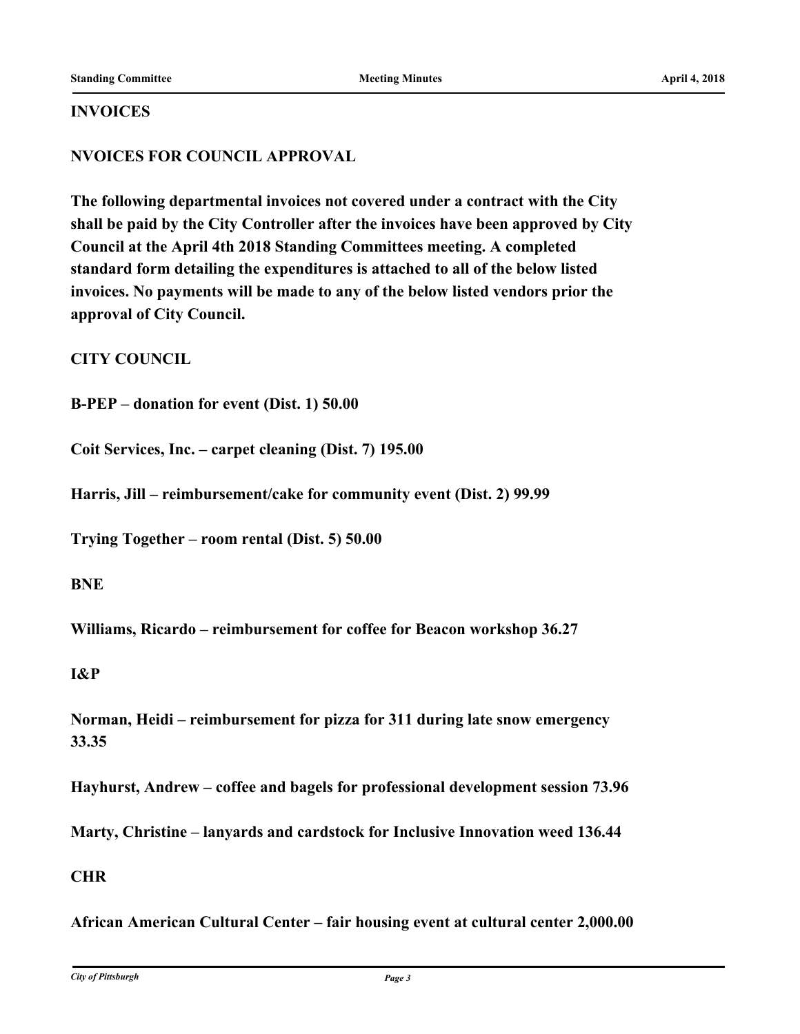#### **INVOICES**

## **NVOICES FOR COUNCIL APPROVAL**

**The following departmental invoices not covered under a contract with the City shall be paid by the City Controller after the invoices have been approved by City Council at the April 4th 2018 Standing Committees meeting. A completed standard form detailing the expenditures is attached to all of the below listed invoices. No payments will be made to any of the below listed vendors prior the approval of City Council.**

**CITY COUNCIL**

**B-PEP – donation for event (Dist. 1) 50.00**

**Coit Services, Inc. – carpet cleaning (Dist. 7) 195.00**

**Harris, Jill – reimbursement/cake for community event (Dist. 2) 99.99**

**Trying Together – room rental (Dist. 5) 50.00**

**BNE**

**Williams, Ricardo – reimbursement for coffee for Beacon workshop 36.27**

**I&P**

**Norman, Heidi – reimbursement for pizza for 311 during late snow emergency 33.35**

**Hayhurst, Andrew – coffee and bagels for professional development session 73.96**

**Marty, Christine – lanyards and cardstock for Inclusive Innovation weed 136.44**

#### **CHR**

**African American Cultural Center – fair housing event at cultural center 2,000.00**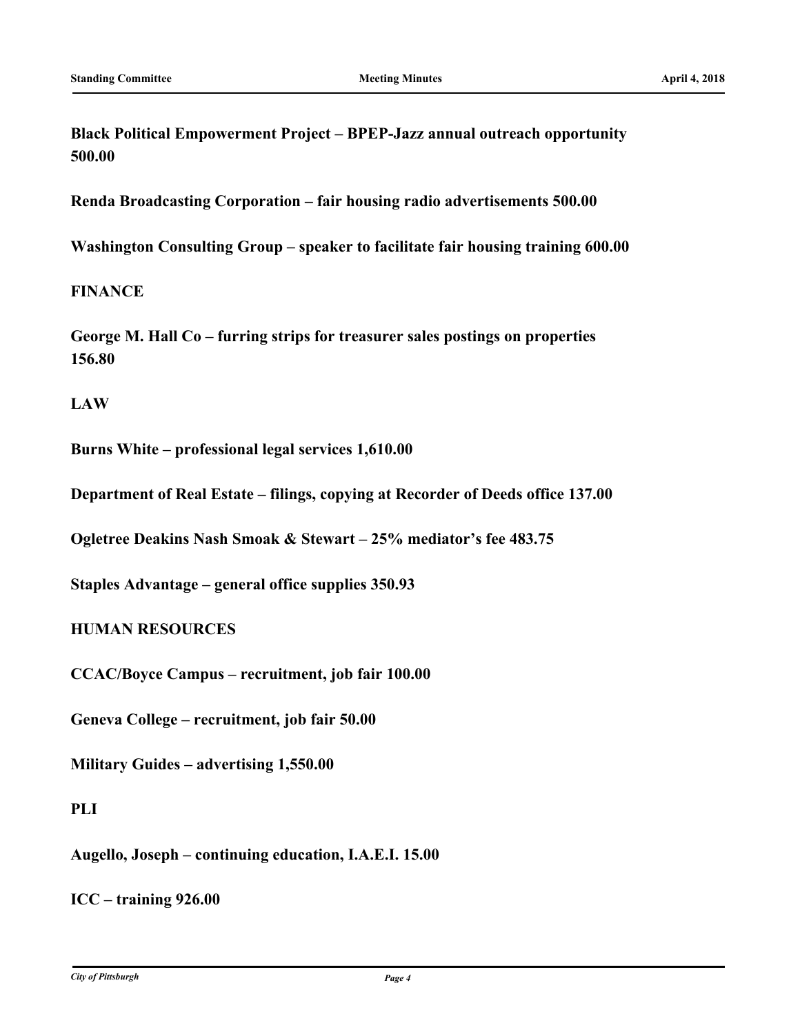**Black Political Empowerment Project – BPEP-Jazz annual outreach opportunity 500.00**

**Renda Broadcasting Corporation – fair housing radio advertisements 500.00**

**Washington Consulting Group – speaker to facilitate fair housing training 600.00**

## **FINANCE**

**George M. Hall Co – furring strips for treasurer sales postings on properties 156.80**

#### **LAW**

**Burns White – professional legal services 1,610.00**

**Department of Real Estate – filings, copying at Recorder of Deeds office 137.00**

**Ogletree Deakins Nash Smoak & Stewart – 25% mediator's fee 483.75**

**Staples Advantage – general office supplies 350.93**

## **HUMAN RESOURCES**

**CCAC/Boyce Campus – recruitment, job fair 100.00**

**Geneva College – recruitment, job fair 50.00**

**Military Guides – advertising 1,550.00**

## **PLI**

**Augello, Joseph – continuing education, I.A.E.I. 15.00**

**ICC – training 926.00**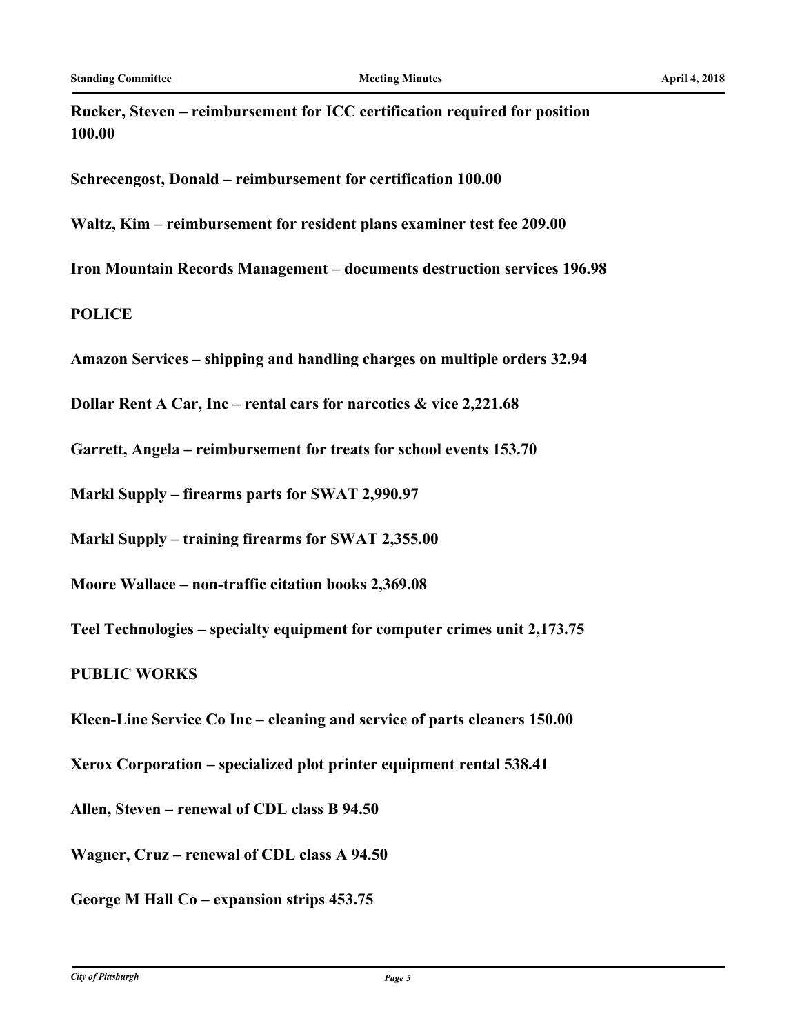**Rucker, Steven – reimbursement for ICC certification required for position 100.00**

**Schrecengost, Donald – reimbursement for certification 100.00**

**Waltz, Kim – reimbursement for resident plans examiner test fee 209.00**

**Iron Mountain Records Management – documents destruction services 196.98**

**POLICE**

**Amazon Services – shipping and handling charges on multiple orders 32.94**

**Dollar Rent A Car, Inc – rental cars for narcotics & vice 2,221.68**

**Garrett, Angela – reimbursement for treats for school events 153.70**

**Markl Supply – firearms parts for SWAT 2,990.97**

**Markl Supply – training firearms for SWAT 2,355.00**

**Moore Wallace – non-traffic citation books 2,369.08**

**Teel Technologies – specialty equipment for computer crimes unit 2,173.75**

**PUBLIC WORKS**

**Kleen-Line Service Co Inc – cleaning and service of parts cleaners 150.00**

**Xerox Corporation – specialized plot printer equipment rental 538.41**

**Allen, Steven – renewal of CDL class B 94.50**

**Wagner, Cruz – renewal of CDL class A 94.50**

**George M Hall Co – expansion strips 453.75**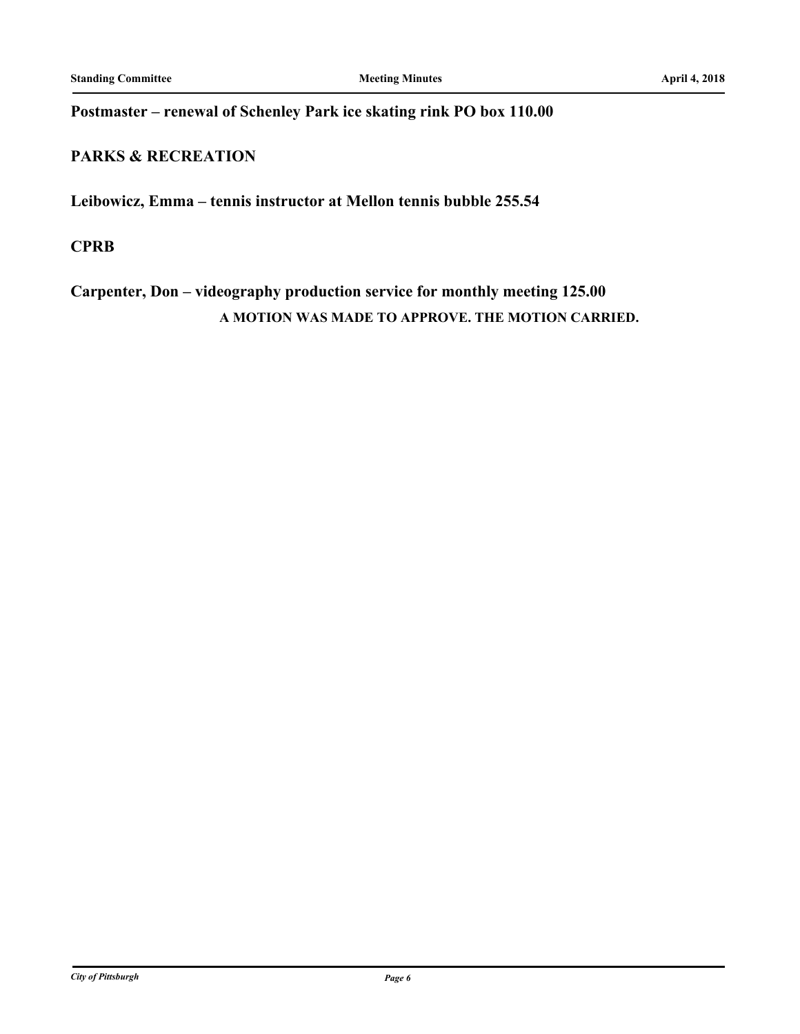## **Postmaster – renewal of Schenley Park ice skating rink PO box 110.00**

## **PARKS & RECREATION**

**Leibowicz, Emma – tennis instructor at Mellon tennis bubble 255.54**

## **CPRB**

# **Carpenter, Don – videography production service for monthly meeting 125.00 A MOTION WAS MADE TO APPROVE. THE MOTION CARRIED.**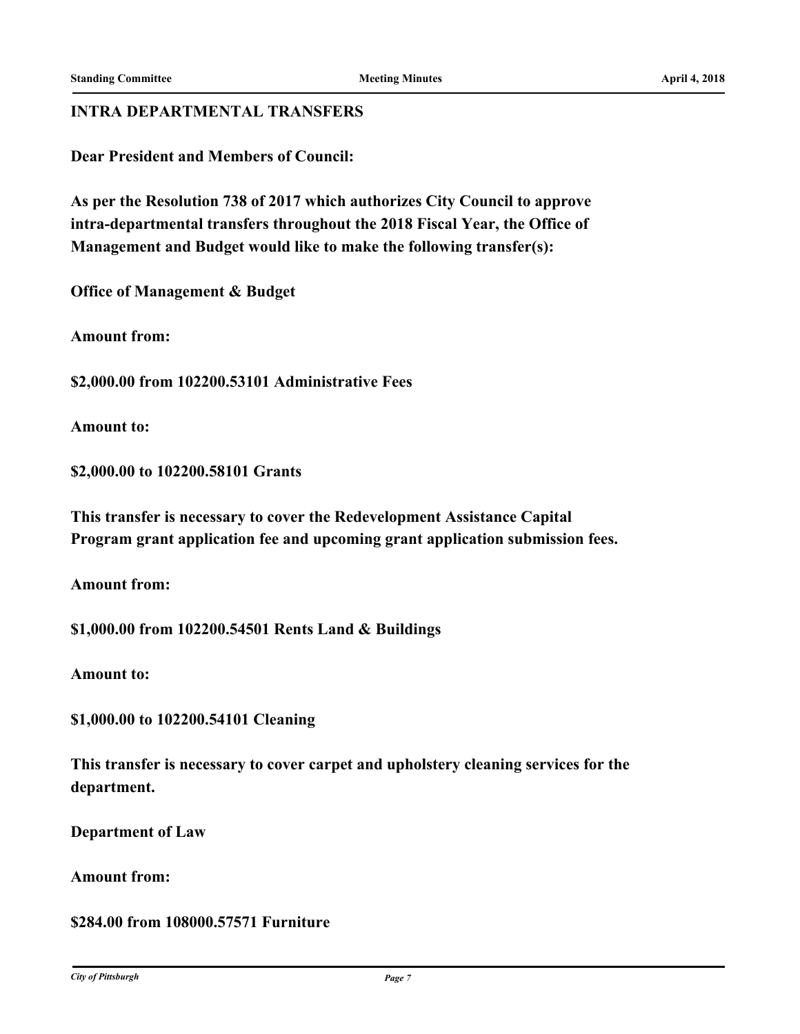## **INTRA DEPARTMENTAL TRANSFERS**

**Dear President and Members of Council:**

**As per the Resolution 738 of 2017 which authorizes City Council to approve intra-departmental transfers throughout the 2018 Fiscal Year, the Office of Management and Budget would like to make the following transfer(s):**

**Office of Management & Budget**

**Amount from:**

**\$2,000.00 from 102200.53101 Administrative Fees**

**Amount to:**

**\$2,000.00 to 102200.58101 Grants**

**This transfer is necessary to cover the Redevelopment Assistance Capital Program grant application fee and upcoming grant application submission fees.**

**Amount from:**

**\$1,000.00 from 102200.54501 Rents Land & Buildings**

**Amount to:**

**\$1,000.00 to 102200.54101 Cleaning**

**This transfer is necessary to cover carpet and upholstery cleaning services for the department.**

**Department of Law**

**Amount from:**

**\$284.00 from 108000.57571 Furniture**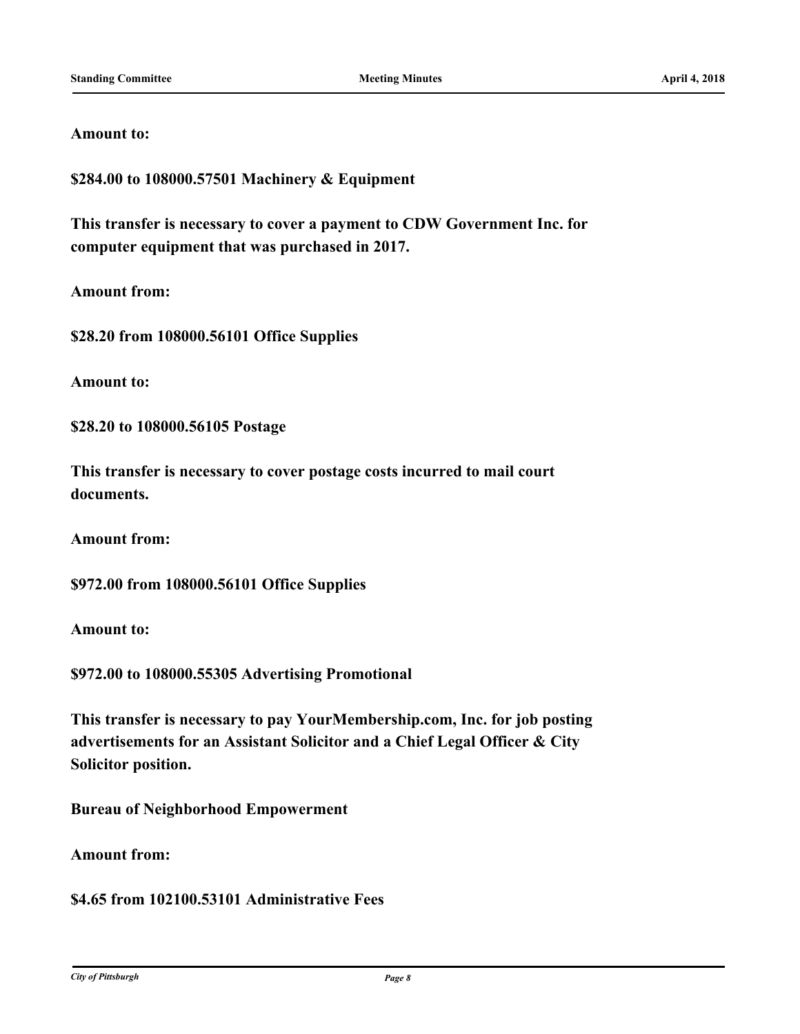#### **Amount to:**

**\$284.00 to 108000.57501 Machinery & Equipment**

**This transfer is necessary to cover a payment to CDW Government Inc. for computer equipment that was purchased in 2017.**

**Amount from:**

**\$28.20 from 108000.56101 Office Supplies**

**Amount to:**

**\$28.20 to 108000.56105 Postage**

**This transfer is necessary to cover postage costs incurred to mail court documents.**

**Amount from:**

**\$972.00 from 108000.56101 Office Supplies**

**Amount to:**

**\$972.00 to 108000.55305 Advertising Promotional**

**This transfer is necessary to pay YourMembership.com, Inc. for job posting advertisements for an Assistant Solicitor and a Chief Legal Officer & City Solicitor position.**

**Bureau of Neighborhood Empowerment**

**Amount from:**

**\$4.65 from 102100.53101 Administrative Fees**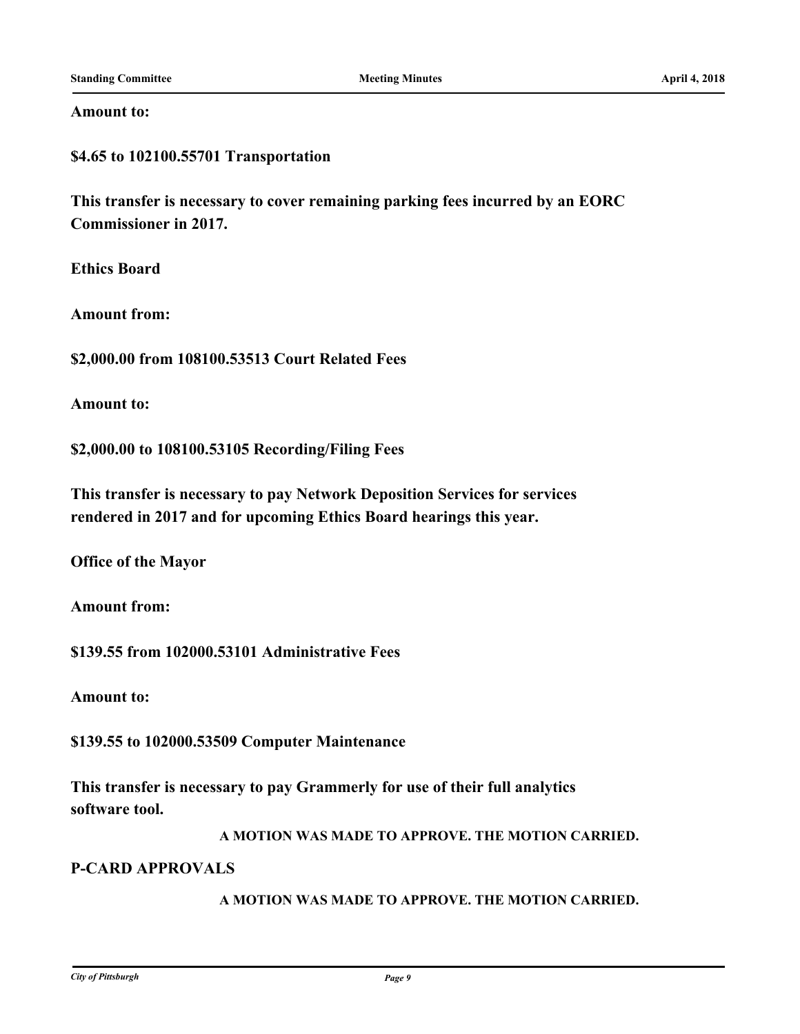#### **Amount to:**

**\$4.65 to 102100.55701 Transportation**

**This transfer is necessary to cover remaining parking fees incurred by an EORC Commissioner in 2017.**

**Ethics Board**

**Amount from:**

**\$2,000.00 from 108100.53513 Court Related Fees**

**Amount to:**

**\$2,000.00 to 108100.53105 Recording/Filing Fees**

**This transfer is necessary to pay Network Deposition Services for services rendered in 2017 and for upcoming Ethics Board hearings this year.**

**Office of the Mayor**

**Amount from:**

**\$139.55 from 102000.53101 Administrative Fees**

**Amount to:**

**\$139.55 to 102000.53509 Computer Maintenance**

**This transfer is necessary to pay Grammerly for use of their full analytics software tool.**

**A MOTION WAS MADE TO APPROVE. THE MOTION CARRIED.**

#### **P-CARD APPROVALS**

**A MOTION WAS MADE TO APPROVE. THE MOTION CARRIED.**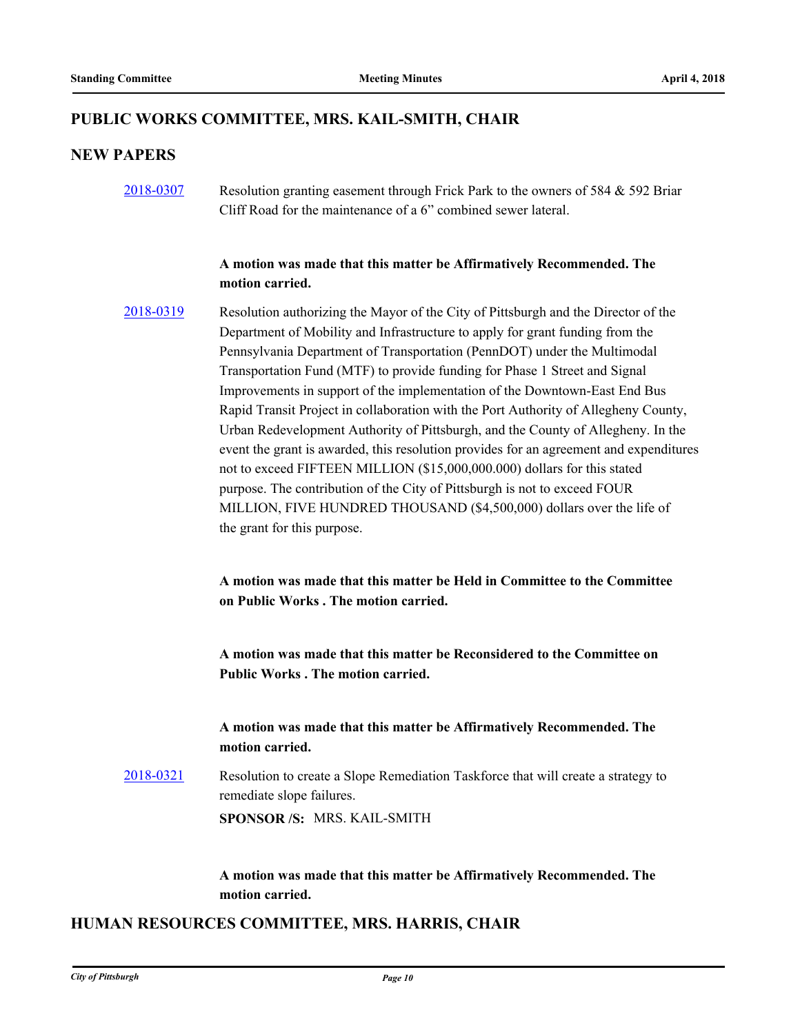## **PUBLIC WORKS COMMITTEE, MRS. KAIL-SMITH, CHAIR**

## **NEW PAPERS**

[2018-0307](http://pittsburgh.legistar.com/gateway.aspx?m=l&id=/matter.aspx?key=22618) Resolution granting easement through Frick Park to the owners of 584 & 592 Briar Cliff Road for the maintenance of a 6" combined sewer lateral.

## **A motion was made that this matter be Affirmatively Recommended. The motion carried.**

[2018-0319](http://pittsburgh.legistar.com/gateway.aspx?m=l&id=/matter.aspx?key=22630) Resolution authorizing the Mayor of the City of Pittsburgh and the Director of the Department of Mobility and Infrastructure to apply for grant funding from the Pennsylvania Department of Transportation (PennDOT) under the Multimodal Transportation Fund (MTF) to provide funding for Phase 1 Street and Signal Improvements in support of the implementation of the Downtown-East End Bus Rapid Transit Project in collaboration with the Port Authority of Allegheny County, Urban Redevelopment Authority of Pittsburgh, and the County of Allegheny. In the event the grant is awarded, this resolution provides for an agreement and expenditures not to exceed FIFTEEN MILLION (\$15,000,000.000) dollars for this stated purpose. The contribution of the City of Pittsburgh is not to exceed FOUR MILLION, FIVE HUNDRED THOUSAND (\$4,500,000) dollars over the life of the grant for this purpose.

> **A motion was made that this matter be Held in Committee to the Committee on Public Works . The motion carried.**

**A motion was made that this matter be Reconsidered to the Committee on Public Works . The motion carried.**

## **A motion was made that this matter be Affirmatively Recommended. The motion carried.**

[2018-0321](http://pittsburgh.legistar.com/gateway.aspx?m=l&id=/matter.aspx?key=22632) Resolution to create a Slope Remediation Taskforce that will create a strategy to remediate slope failures. **SPONSOR /S:** MRS. KAIL-SMITH

> **A motion was made that this matter be Affirmatively Recommended. The motion carried.**

## **HUMAN RESOURCES COMMITTEE, MRS. HARRIS, CHAIR**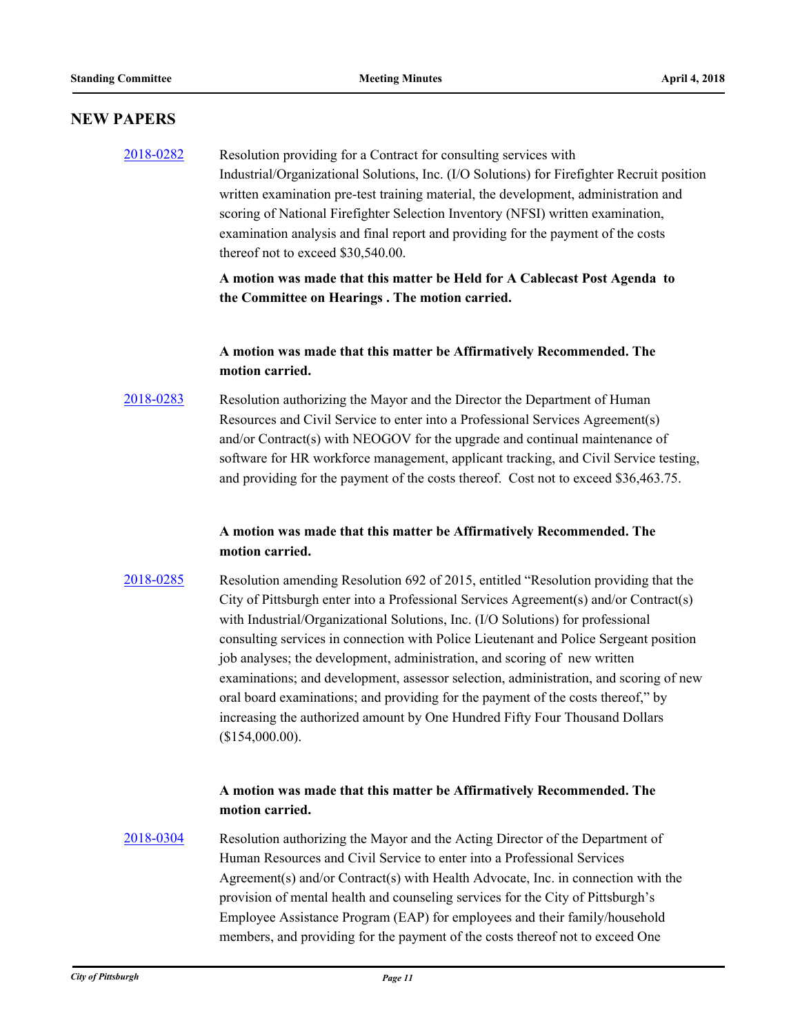#### **NEW PAPERS**

## [2018-0282](http://pittsburgh.legistar.com/gateway.aspx?m=l&id=/matter.aspx?key=22592) Resolution providing for a Contract for consulting services with Industrial/Organizational Solutions, Inc. (I/O Solutions) for Firefighter Recruit position written examination pre-test training material, the development, administration and scoring of National Firefighter Selection Inventory (NFSI) written examination, examination analysis and final report and providing for the payment of the costs thereof not to exceed \$30,540.00.

**A motion was made that this matter be Held for A Cablecast Post Agenda to the Committee on Hearings . The motion carried.**

#### **A motion was made that this matter be Affirmatively Recommended. The motion carried.**

# [2018-0283](http://pittsburgh.legistar.com/gateway.aspx?m=l&id=/matter.aspx?key=22593) Resolution authorizing the Mayor and the Director the Department of Human Resources and Civil Service to enter into a Professional Services Agreement(s) and/or Contract(s) with NEOGOV for the upgrade and continual maintenance of software for HR workforce management, applicant tracking, and Civil Service testing, and providing for the payment of the costs thereof. Cost not to exceed \$36,463.75.

## **A motion was made that this matter be Affirmatively Recommended. The motion carried.**

[2018-0285](http://pittsburgh.legistar.com/gateway.aspx?m=l&id=/matter.aspx?key=22595) Resolution amending Resolution 692 of 2015, entitled "Resolution providing that the City of Pittsburgh enter into a Professional Services Agreement(s) and/or Contract(s) with Industrial/Organizational Solutions, Inc. (I/O Solutions) for professional consulting services in connection with Police Lieutenant and Police Sergeant position job analyses; the development, administration, and scoring of new written examinations; and development, assessor selection, administration, and scoring of new oral board examinations; and providing for the payment of the costs thereof," by increasing the authorized amount by One Hundred Fifty Four Thousand Dollars (\$154,000.00).

## **A motion was made that this matter be Affirmatively Recommended. The motion carried.**

[2018-0304](http://pittsburgh.legistar.com/gateway.aspx?m=l&id=/matter.aspx?key=22615) Resolution authorizing the Mayor and the Acting Director of the Department of Human Resources and Civil Service to enter into a Professional Services Agreement(s) and/or Contract(s) with Health Advocate, Inc. in connection with the provision of mental health and counseling services for the City of Pittsburgh's Employee Assistance Program (EAP) for employees and their family/household members, and providing for the payment of the costs thereof not to exceed One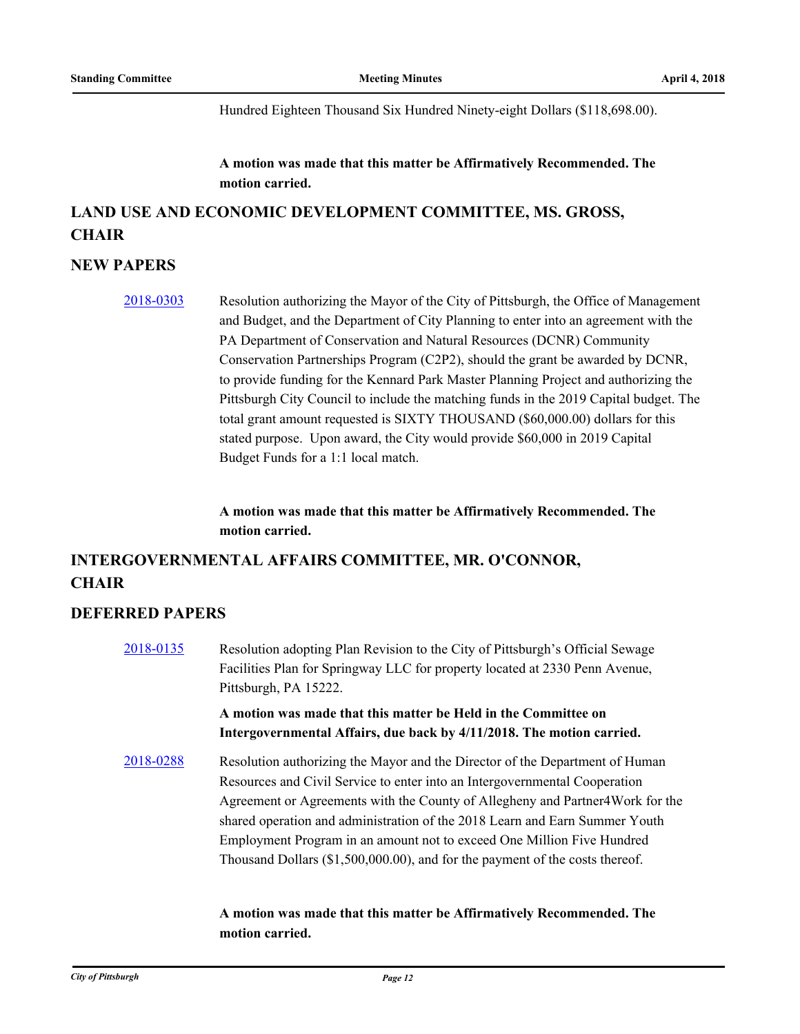Hundred Eighteen Thousand Six Hundred Ninety-eight Dollars (\$118,698.00).

**A motion was made that this matter be Affirmatively Recommended. The motion carried.**

# **LAND USE AND ECONOMIC DEVELOPMENT COMMITTEE, MS. GROSS, CHAIR**

## **NEW PAPERS**

[2018-0303](http://pittsburgh.legistar.com/gateway.aspx?m=l&id=/matter.aspx?key=22614) Resolution authorizing the Mayor of the City of Pittsburgh, the Office of Management and Budget, and the Department of City Planning to enter into an agreement with the PA Department of Conservation and Natural Resources (DCNR) Community Conservation Partnerships Program (C2P2), should the grant be awarded by DCNR, to provide funding for the Kennard Park Master Planning Project and authorizing the Pittsburgh City Council to include the matching funds in the 2019 Capital budget. The total grant amount requested is SIXTY THOUSAND (\$60,000.00) dollars for this stated purpose. Upon award, the City would provide \$60,000 in 2019 Capital Budget Funds for a 1:1 local match.

> **A motion was made that this matter be Affirmatively Recommended. The motion carried.**

# **INTERGOVERNMENTAL AFFAIRS COMMITTEE, MR. O'CONNOR, CHAIR**

#### **DEFERRED PAPERS**

| 2018-0135 | Resolution adopting Plan Revision to the City of Pittsburgh's Official Sewage<br>Facilities Plan for Springway LLC for property located at 2330 Penn Avenue,<br>Pittsburgh, PA 15222.                                                                                                                                                                                                                                                                                                  |
|-----------|----------------------------------------------------------------------------------------------------------------------------------------------------------------------------------------------------------------------------------------------------------------------------------------------------------------------------------------------------------------------------------------------------------------------------------------------------------------------------------------|
|           | A motion was made that this matter be Held in the Committee on<br>Intergovernmental Affairs, due back by 4/11/2018. The motion carried.                                                                                                                                                                                                                                                                                                                                                |
| 2018-0288 | Resolution authorizing the Mayor and the Director of the Department of Human<br>Resources and Civil Service to enter into an Intergovernmental Cooperation<br>Agreement or Agreements with the County of Allegheny and Partner 4 Work for the<br>shared operation and administration of the 2018 Learn and Earn Summer Youth<br>Employment Program in an amount not to exceed One Million Five Hundred<br>Thousand Dollars (\$1,500,000.00), and for the payment of the costs thereof. |

## **A motion was made that this matter be Affirmatively Recommended. The motion carried.**